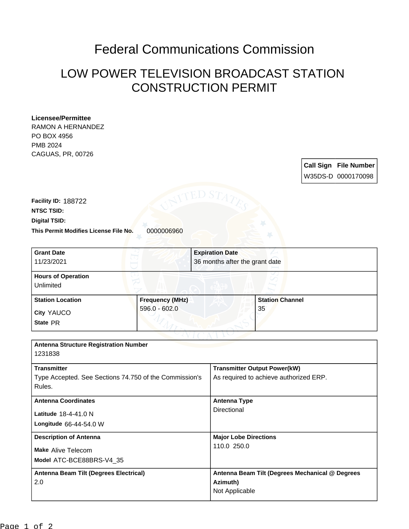## Federal Communications Commission

## LOW POWER TELEVISION BROADCAST STATION CONSTRUCTION PERMIT

## **Licensee/Permittee**

RAMON A HERNANDEZ PO BOX 4956 PMB 2024 CAGUAS, PR, 00726

> **Call Sign File Number** W35DS-D 0000170098

**This Permit Modifies License File No.** 0000006960 **Digital TSID: NTSC TSID: Facility ID:** 188722

| <b>Grant Date</b><br>11/23/2021                                  |                                           | <b>Expiration Date</b><br>36 months after the grant date |                              |
|------------------------------------------------------------------|-------------------------------------------|----------------------------------------------------------|------------------------------|
| <b>Hours of Operation</b><br>Unlimited                           |                                           |                                                          |                              |
| <b>Station Location</b><br>City YAUCO<br>State PR                | <b>Frequency (MHz)</b><br>$596.0 - 602.0$ |                                                          | <b>Station Channel</b><br>35 |
| <b>Antenna Structure Registration Number</b><br>1231838          |                                           |                                                          |                              |
| <b>Transmitter</b>                                               |                                           | <b>Transmitter Output Power(kW)</b>                      |                              |
| Type Accepted. See Sections 74.750 of the Commission's<br>Rules. |                                           | As required to achieve authorized ERP.                   |                              |
| <b>Antenna Coordinates</b>                                       |                                           | <b>Antenna Type</b>                                      |                              |
| Latitude 18-4-41.0 N<br>Longitude 66-44-54.0 W                   |                                           | Directional                                              |                              |
|                                                                  |                                           |                                                          |                              |

**Model** ATC-BCE88BRS-V4\_35 **Make** Alive Telecom **Description of Antenna Major Lobe Directions** 110.0 250.0 **Antenna Beam Tilt (Degrees Electrical)** 2.0 **Antenna Beam Tilt (Degrees Mechanical @ Degrees Azimuth)** Not Applicable Page 1 of 2